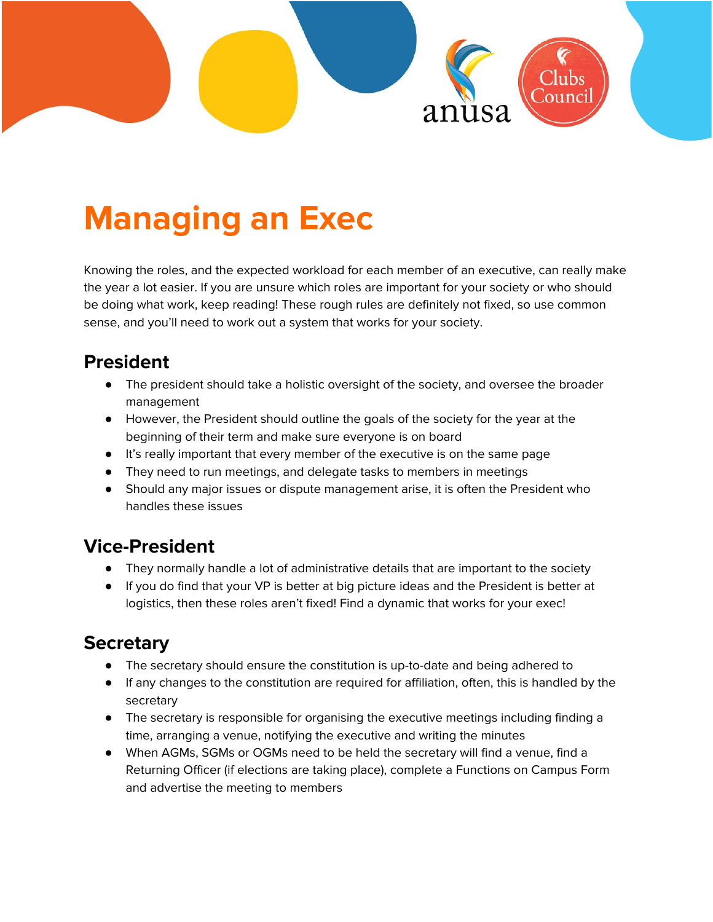

# **Managing an Exec**

Knowing the roles, and the expected workload for each member of an executive, can really make the year a lot easier. If you are unsure which roles are important for your society or who should be doing what work, keep reading! These rough rules are definitely not fixed, so use common sense, and you'll need to work out a system that works for your society.

#### **President**

- The president should take a holistic oversight of the society, and oversee the broader management
- However, the President should outline the goals of the society for the year at the beginning of their term and make sure everyone is on board
- It's really important that every member of the executive is on the same page
- They need to run meetings, and delegate tasks to members in meetings
- Should any major issues or dispute management arise, it is often the President who handles these issues

#### **Vice-President**

- They normally handle a lot of administrative details that are important to the society
- If you do find that your VP is better at big picture ideas and the President is better at logistics, then these roles aren't fixed! Find a dynamic that works for your exec!

#### **Secretary**

- The secretary should ensure the constitution is up-to-date and being adhered to
- If any changes to the constitution are required for affiliation, often, this is handled by the secretary
- The secretary is responsible for organising the executive meetings including finding a time, arranging a venue, notifying the executive and writing the minutes
- When AGMs, SGMs or OGMs need to be held the secretary will find a venue, find a Returning Officer (if elections are taking place), complete a Functions on Campus Form and advertise the meeting to members